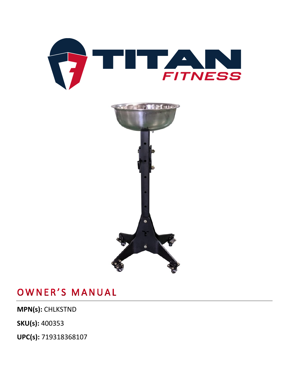



## OWNER'S MANUAL

**MPN(s):** CHLKSTND

**SKU(s):** 400353

**UPC(s):** 719318368107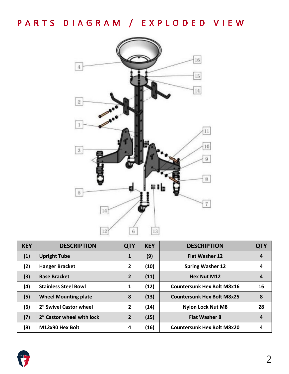PARTS DIAGRAM / EXPLODED VIEW



| <b>KEY</b> | <b>DESCRIPTION</b>          | <b>QTY</b>     | <b>KEY</b> | <b>DESCRIPTION</b>                | <b>QTY</b> |
|------------|-----------------------------|----------------|------------|-----------------------------------|------------|
| (1)        | <b>Upright Tube</b>         | 1              | (9)        | <b>Flat Washer 12</b>             | 4          |
| (2)        | <b>Hanger Bracket</b>       | $\overline{2}$ | (10)       | <b>Spring Washer 12</b>           | 4          |
| (3)        | <b>Base Bracket</b>         | $\overline{2}$ | (11)       | <b>Hex Nut M12</b>                | 4          |
| (4)        | <b>Stainless Steel Bowl</b> | 1              | (12)       | <b>Countersunk Hex Bolt M8x16</b> | 16         |
| (5)        | <b>Wheel Mounting plate</b> | 8              | (13)       | <b>Countersunk Hex Bolt M8x25</b> | 8          |
| (6)        | 2" Swivel Castor wheel      | $\overline{2}$ | (14)       | <b>Nylon Lock Nut M8</b>          | 28         |
| (7)        | 2" Castor wheel with lock   | $\overline{2}$ | (15)       | <b>Flat Washer 8</b>              | 4          |
| (8)        | M12x90 Hex Bolt             | 4              | (16)       | <b>Countersunk Hex Bolt M8x20</b> | 4          |